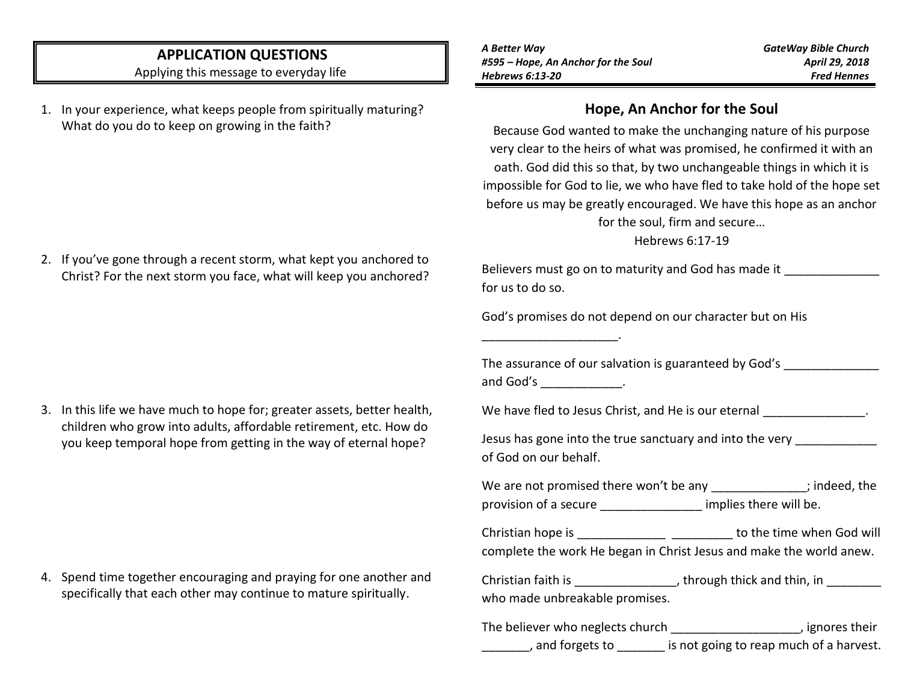# **APPLICATION QUESTIONS**

Applying this message to everyday life

1. In your experience, what keeps people from spiritually maturing? What do you do to keep on growing in the faith?

2. If you've gone through a recent storm, what kept you anchored to Christ? For the next storm you face, what will keep you anchored?

3. In this life we have much to hope for; greater assets, better health, children who grow into adults, affordable retirement, etc. How do you keep temporal hope from getting in the way of eternal hope?

4. Spend time together encouraging and praying for one another and

specifically that each other may continue to mature spiritually.

\_\_\_\_\_\_\_\_\_\_\_\_\_\_\_\_\_\_\_\_.

*GateWay Bible Church April 29, 2018 Fred Hennes*

#### **Hope, An Anchor for the Soul**

Because God wanted to make the unchanging nature of his purpose very clear to the heirs of what was promised, he confirmed it with an oath. God did this so that, by two unchangeable things in which it is impossible for God to lie, we who have fled to take hold of the hope set before us may be greatly encouraged. We have this hope as an anchor for the soul, firm and secure…

Hebrews 6:17-19

Believers must go on to maturity and God has made it for us to do so.

God's promises do not depend on our character but on His

| The assurance of our salvation is guaranteed by God's |  |
|-------------------------------------------------------|--|
| and God's                                             |  |

We have fled to Jesus Christ, and He is our eternal  $\blacksquare$ 

Jesus has gone into the true sanctuary and into the very \_\_\_\_\_\_\_ of God on our behalf.

| We are not promised there won't be any |                        | ; indeed, the |
|----------------------------------------|------------------------|---------------|
| provision of a secure                  | implies there will be. |               |

Christian hope is \_\_\_\_\_\_\_\_\_\_\_\_\_\_\_\_\_\_ \_\_\_\_\_\_\_\_\_\_ to the time when God will complete the work He began in Christ Jesus and make the world anew.

Christian faith is \_\_\_\_\_\_\_\_\_\_\_\_\_\_\_, through thick and thin, in \_\_\_\_\_\_\_\_ who made unbreakable promises.

| The believer who neglects church | , ignores their                         |
|----------------------------------|-----------------------------------------|
| , and forgets to                 | is not going to reap much of a harvest. |